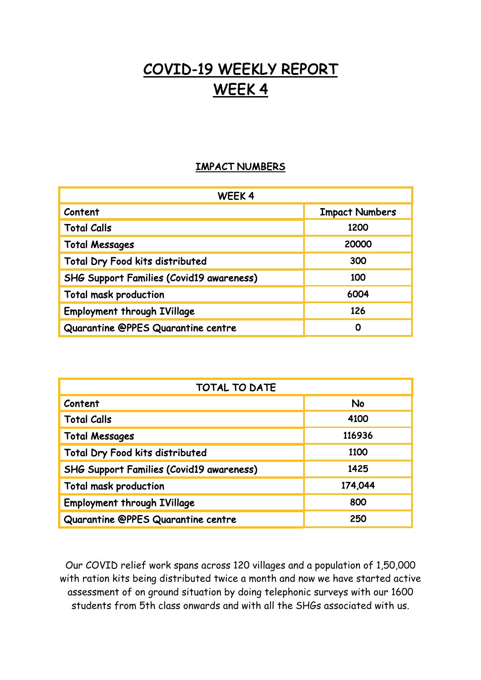## COVID-19 WEEKLY REPORT WEEK 4

## IMPACT NUMBERS

| WEEK4                                           |                       |
|-------------------------------------------------|-----------------------|
| Content                                         | <b>Impact Numbers</b> |
| <b>Total Calls</b>                              | 1200                  |
| <b>Total Messages</b>                           | 20000                 |
| Total Dry Food kits distributed                 | 300                   |
| <b>SHG Support Families (Covid19 awareness)</b> | 100                   |
| <b>Total mask production</b>                    | 6004                  |
| <b>Employment through IVillage</b>              | 126                   |
| Quarantine @PPES Quarantine centre              | 0                     |

| <b>TOTAL TO DATE</b>                            |           |
|-------------------------------------------------|-----------|
| Content                                         | <b>No</b> |
| <b>Total Calls</b>                              | 4100      |
| <b>Total Messages</b>                           | 116936    |
| <b>Total Dry Food kits distributed</b>          | 1100      |
| <b>SHG Support Families (Covid19 awareness)</b> | 1425      |
| <b>Total mask production</b>                    | 174,044   |
| <b>Employment through IVillage</b>              | 800       |
| Quarantine @PPES Quarantine centre              | 250       |

Our COVID relief work spans across 120 villages and a population of 1,50,000 with ration kits being distributed twice a month and now we have started active assessment of on ground situation by doing telephonic surveys with our 1600 students from 5th class onwards and with all the SHGs associated with us.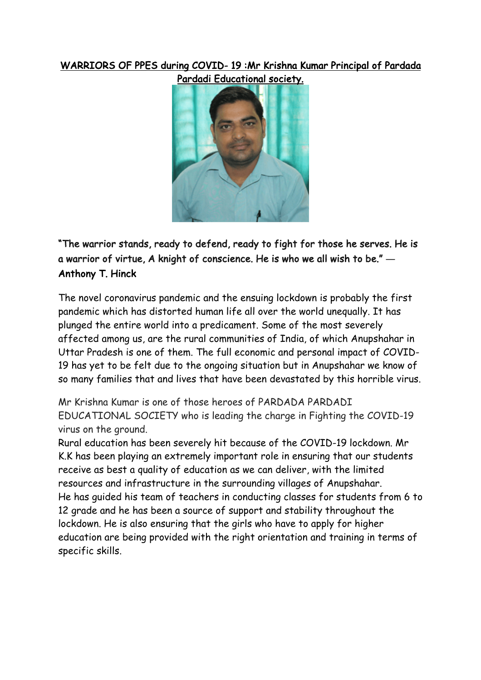## WARRIORS OF PPES during COVID- 19 :Mr Krishna Kumar Principal of Pardada



"The warrior stands, ready to defend, ready to fight for those he serves. He is a warrior of virtue, A knight of conscience. He is who we all wish to be." **―** Anthony T. Hinck

The novel coronavirus pandemic and the ensuing lockdown is probably the first pandemic which has distorted human life all over the world unequally. It has plunged the entire world into a predicament. Some of the most severely affected among us, are the rural communities of India, of which Anupshahar in Uttar Pradesh is one of them. The full economic and personal impact of COVID-19 has yet to be felt due to the ongoing situation but in Anupshahar we know of so many families that and lives that have been devastated by this horrible virus.

Mr Krishna Kumar is one of those heroes of PARDADA PARDADI EDUCATIONAL SOCIETY who is leading the charge in Fighting the COVID-19 virus on the ground.

Rural education has been severely hit because of the COVID-19 lockdown. Mr K.K has been playing an extremely important role in ensuring that our students receive as best a quality of education as we can deliver, with the limited resources and infrastructure in the surrounding villages of Anupshahar. He has guided his team of teachers in conducting classes for students from 6 to 12 grade and he has been a source of support and stability throughout the lockdown. He is also ensuring that the girls who have to apply for higher education are being provided with the right orientation and training in terms of specific skills.